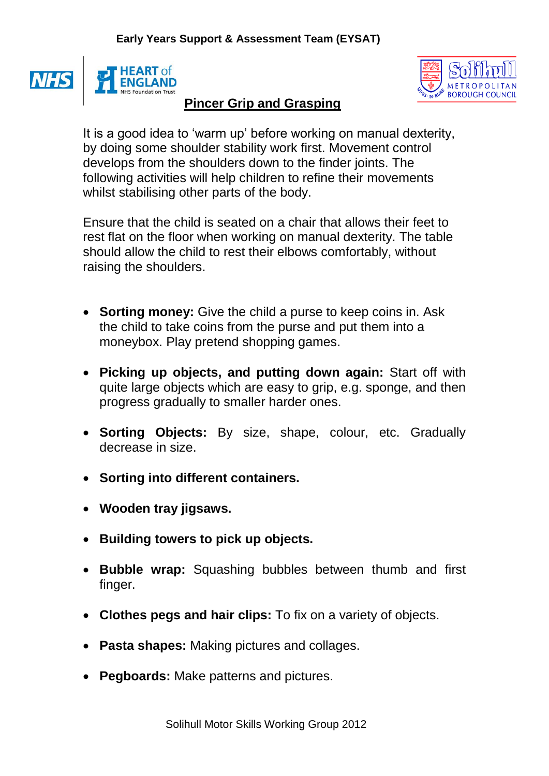



## **Pincer Grip and Grasping**

It is a good idea to 'warm up' before working on manual dexterity, by doing some shoulder stability work first. Movement control develops from the shoulders down to the finder joints. The following activities will help children to refine their movements whilst stabilising other parts of the body.

Ensure that the child is seated on a chair that allows their feet to rest flat on the floor when working on manual dexterity. The table should allow the child to rest their elbows comfortably, without raising the shoulders.

- **Sorting money:** Give the child a purse to keep coins in. Ask the child to take coins from the purse and put them into a moneybox. Play pretend shopping games.
- **Picking up objects, and putting down again:** Start off with quite large objects which are easy to grip, e.g. sponge, and then progress gradually to smaller harder ones.
- **Sorting Objects:** By size, shape, colour, etc. Gradually decrease in size.
- **Sorting into different containers.**
- **Wooden tray jigsaws.**
- **Building towers to pick up objects.**
- **Bubble wrap:** Squashing bubbles between thumb and first finger.
- **Clothes pegs and hair clips:** To fix on a variety of objects.
- **Pasta shapes:** Making pictures and collages.
- **Pegboards:** Make patterns and pictures.